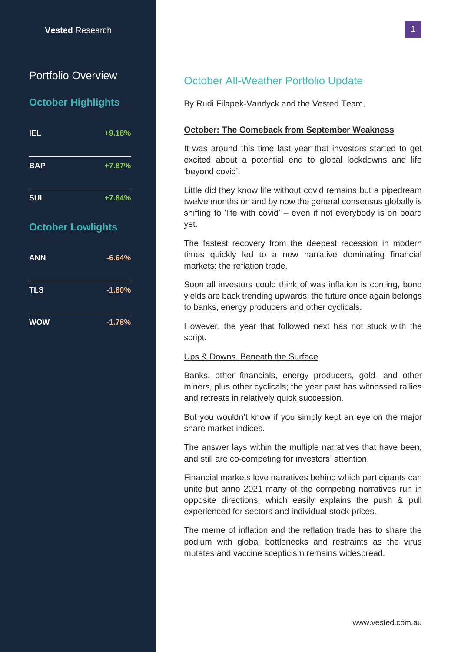# Portfolio Overview

### **October Highlights**

| <b>IEL</b> | $+9.18%$ |
|------------|----------|
| <b>BAP</b> | $+7.87%$ |
| <b>SUL</b> | $+7.84%$ |

## **October Lowlights**

| <b>ANN</b> | $-6.64%$ |
|------------|----------|
| <b>TLS</b> | $-1.80%$ |
| <b>WOW</b> | $-1.78%$ |

## October All-Weather Portfolio Update

By Rudi Filapek-Vandyck and the Vested Team,

#### **October: The Comeback from September Weakness**

It was around this time last year that investors started to get excited about a potential end to global lockdowns and life 'beyond covid'.

Little did they know life without covid remains but a pipedream twelve months on and by now the general consensus globally is shifting to 'life with covid'  $-$  even if not everybody is on board yet.

The fastest recovery from the deepest recession in modern times quickly led to a new narrative dominating financial markets: the reflation trade.

Soon all investors could think of was inflation is coming, bond yields are back trending upwards, the future once again belongs to banks, energy producers and other cyclicals.

However, the year that followed next has not stuck with the script.

#### Ups & Downs, Beneath the Surface

Banks, other financials, energy producers, gold- and other miners, plus other cyclicals; the year past has witnessed rallies and retreats in relatively quick succession.

But you wouldn't know if you simply kept an eye on the major share market indices.

The answer lays within the multiple narratives that have been, and still are co-competing for investors' attention.

Financial markets love narratives behind which participants can unite but anno 2021 many of the competing narratives run in opposite directions, which easily explains the push & pull experienced for sectors and individual stock prices.

The meme of inflation and the reflation trade has to share the podium with global bottlenecks and restraints as the virus mutates and vaccine scepticism remains widespread.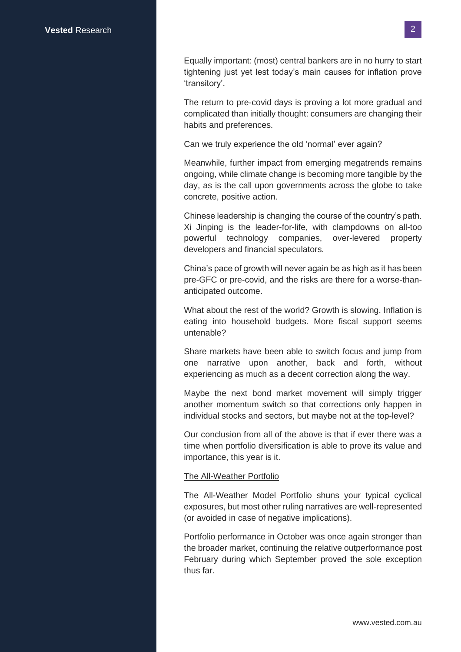Equally important: (most) central bankers are in no hurry to start tightening just yet lest today's main causes for inflation prove 'transitory'.

The return to pre-covid days is proving a lot more gradual and complicated than initially thought: consumers are changing their habits and preferences.

Can we truly experience the old 'normal' ever again?

Meanwhile, further impact from emerging megatrends remains ongoing, while climate change is becoming more tangible by the day, as is the call upon governments across the globe to take concrete, positive action.

Chinese leadership is changing the course of the country's path. Xi Jinping is the leader-for-life, with clampdowns on all-too powerful technology companies, over-levered property developers and financial speculators.

China's pace of growth will never again be as high as it has been pre-GFC or pre-covid, and the risks are there for a worse-thananticipated outcome.

What about the rest of the world? Growth is slowing. Inflation is eating into household budgets. More fiscal support seems untenable?

Share markets have been able to switch focus and jump from one narrative upon another, back and forth, without experiencing as much as a decent correction along the way.

Maybe the next bond market movement will simply trigger another momentum switch so that corrections only happen in individual stocks and sectors, but maybe not at the top-level?

Our conclusion from all of the above is that if ever there was a time when portfolio diversification is able to prove its value and importance, this year is it.

#### The All-Weather Portfolio

The All-Weather Model Portfolio shuns your typical cyclical exposures, but most other ruling narratives are well-represented (or avoided in case of negative implications).

Portfolio performance in October was once again stronger than the broader market, continuing the relative outperformance post February during which September proved the sole exception thus far.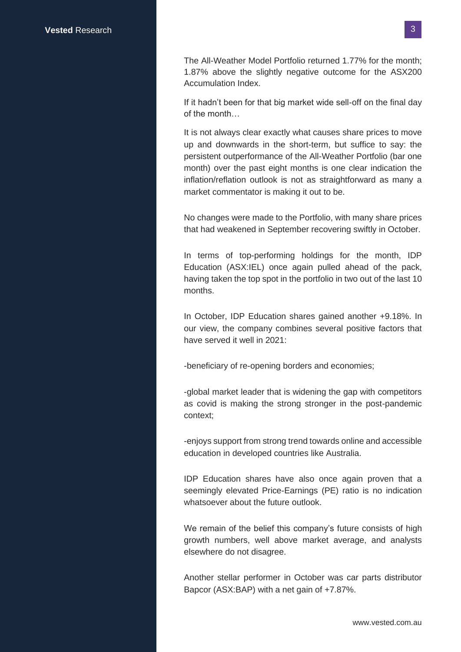The All-Weather Model Portfolio returned 1.77% for the month; 1.87% above the slightly negative outcome for the ASX200 Accumulation Index.

If it hadn't been for that big market wide sell-off on the final day of the month…

It is not always clear exactly what causes share prices to move up and downwards in the short-term, but suffice to say: the persistent outperformance of the All-Weather Portfolio (bar one month) over the past eight months is one clear indication the inflation/reflation outlook is not as straightforward as many a market commentator is making it out to be.

No changes were made to the Portfolio, with many share prices that had weakened in September recovering swiftly in October.

In terms of top-performing holdings for the month, IDP Education (ASX:IEL) once again pulled ahead of the pack, having taken the top spot in the portfolio in two out of the last 10 months.

In October, IDP Education shares gained another +9.18%. In our view, the company combines several positive factors that have served it well in 2021:

-beneficiary of re-opening borders and economies;

-global market leader that is widening the gap with competitors as covid is making the strong stronger in the post-pandemic context;

-enjoys support from strong trend towards online and accessible education in developed countries like Australia.

IDP Education shares have also once again proven that a seemingly elevated Price-Earnings (PE) ratio is no indication whatsoever about the future outlook.

We remain of the belief this company's future consists of high growth numbers, well above market average, and analysts elsewhere do not disagree.

Another stellar performer in October was car parts distributor Bapcor (ASX:BAP) with a net gain of +7.87%.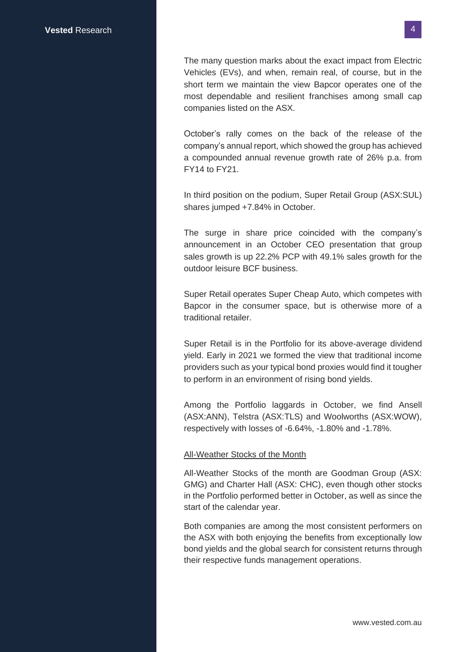The many question marks about the exact impact from Electric Vehicles (EVs), and when, remain real, of course, but in the short term we maintain the view Bapcor operates one of the most dependable and resilient franchises among small cap companies listed on the ASX.

October's rally comes on the back of the release of the company's annual report, which showed the group has achieved a compounded annual revenue growth rate of 26% p.a. from FY14 to FY21.

In third position on the podium, Super Retail Group (ASX:SUL) shares jumped +7.84% in October.

The surge in share price coincided with the company's announcement in an October CEO presentation that group sales growth is up 22.2% PCP with 49.1% sales growth for the outdoor leisure BCF business.

Super Retail operates Super Cheap Auto, which competes with Bapcor in the consumer space, but is otherwise more of a traditional retailer.

Super Retail is in the Portfolio for its above-average dividend yield. Early in 2021 we formed the view that traditional income providers such as your typical bond proxies would find it tougher to perform in an environment of rising bond yields.

Among the Portfolio laggards in October, we find Ansell (ASX:ANN), Telstra (ASX:TLS) and Woolworths (ASX:WOW), respectively with losses of -6.64%, -1.80% and -1.78%.

#### All-Weather Stocks of the Month

All-Weather Stocks of the month are Goodman Group (ASX: GMG) and Charter Hall (ASX: CHC), even though other stocks in the Portfolio performed better in October, as well as since the start of the calendar year.

Both companies are among the most consistent performers on the ASX with both enjoying the benefits from exceptionally low bond yields and the global search for consistent returns through their respective funds management operations.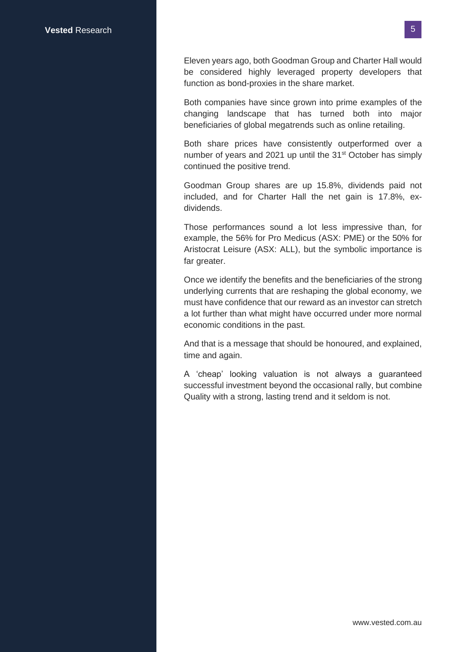Eleven years ago, both Goodman Group and Charter Hall would be considered highly leveraged property developers that function as bond-proxies in the share market.

Both companies have since grown into prime examples of the changing landscape that has turned both into major beneficiaries of global megatrends such as online retailing.

Both share prices have consistently outperformed over a number of years and 2021 up until the 31<sup>st</sup> October has simply continued the positive trend.

Goodman Group shares are up 15.8%, dividends paid not included, and for Charter Hall the net gain is 17.8%, exdividends.

Those performances sound a lot less impressive than, for example, the 56% for Pro Medicus (ASX: PME) or the 50% for Aristocrat Leisure (ASX: ALL), but the symbolic importance is far greater.

Once we identify the benefits and the beneficiaries of the strong underlying currents that are reshaping the global economy, we must have confidence that our reward as an investor can stretch a lot further than what might have occurred under more normal economic conditions in the past.

And that is a message that should be honoured, and explained, time and again.

A 'cheap' looking valuation is not always a guaranteed successful investment beyond the occasional rally, but combine Quality with a strong, lasting trend and it seldom is not.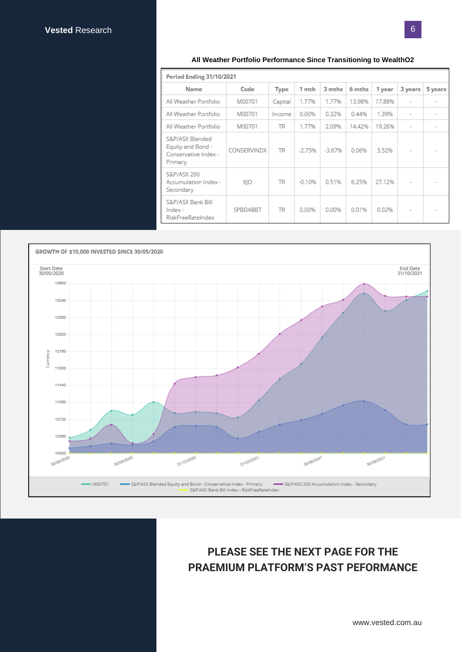#### **All Weather Portfolio Performance Since Transitioning to WealthO2**

| <b>Period Ending 31/10/2021</b>                                         |                    |             |          |          |        |        |                          |         |
|-------------------------------------------------------------------------|--------------------|-------------|----------|----------|--------|--------|--------------------------|---------|
| <b>Name</b>                                                             | Code               | <b>Type</b> | 1 mth    | 3 mths   | 6 mths | 1 year | 3 years                  | 5 years |
| All Weather Portfolio                                                   | M00701             | Capital     | 1.77%    | 1.77%    | 13.98% | 17.88% |                          |         |
| All Weather Portfolio                                                   | M00701             | Income      | 0.00%    | 0.32%    | 0.44%  | 1.39%  | $\overline{\phantom{a}}$ |         |
| All Weather Portfolio                                                   | M00701             | <b>TR</b>   | 1.77%    | 2.09%    | 14.42% | 19.26% | $\overline{\phantom{a}}$ |         |
| S&P/ASX Blended<br>Equity and Bond -<br>Conservative Index -<br>Primary | <b>CONSERVINDX</b> | <b>TR</b>   | $-2.75%$ | $-3.67%$ | 0.06%  | 3.52%  |                          |         |
| <b>S&amp;P/ASX 200</b><br>Accumulation Index -<br>Secondary             | XIO                | <b>TR</b>   | $-0.10%$ | 0.51%    | 6.25%  | 27.12% |                          |         |
| S&P/ASX Bank Bill<br>$Index -$<br><b>RiskFreeRateIndex</b>              | <b>SPBDABBT</b>    | <b>TR</b>   | 0.00%    | 0.00%    | 0.01%  | 0.02%  |                          |         |



# **PLEASE SEE THE NEXT PAGE FOR THE PRAEMIUM PLATFORM'S PAST PEFORMANCE**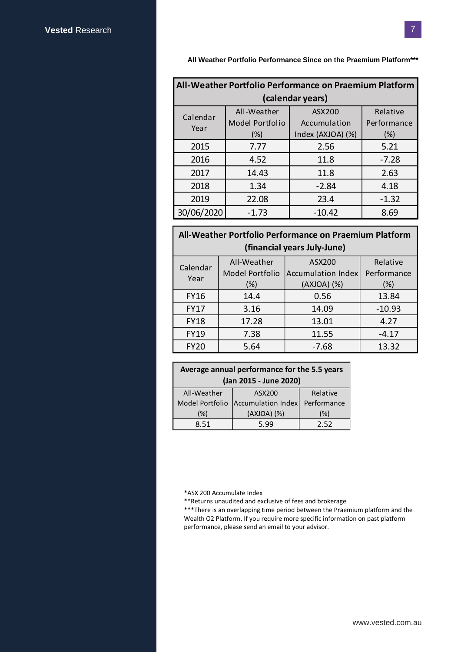**All Weather Portfolio Performance Since on the Praemium Platform\*\*\***

| All-Weather Portfolio Performance on Praemium Platform |                                |                        |                         |  |
|--------------------------------------------------------|--------------------------------|------------------------|-------------------------|--|
| (calendar years)                                       |                                |                        |                         |  |
| Calendar                                               | All-Weather<br>Model Portfolio | ASX200<br>Accumulation | Relative<br>Performance |  |
| Year                                                   | (%)                            | Index (AXJOA) (%)      | (%)                     |  |
| 2015                                                   | 7.77                           | 2.56                   | 5.21                    |  |
| 2016                                                   | 4.52                           | 11.8                   | $-7.28$                 |  |
| 2017                                                   | 14.43                          | 11.8                   | 2.63                    |  |
| 2018                                                   | 1.34                           | $-2.84$                | 4.18                    |  |
| 2019                                                   | 22.08                          | 23.4                   | $-1.32$                 |  |
| 30/06/2020                                             | $-1.73$                        | $-10.42$               | 8.69                    |  |
|                                                        |                                |                        |                         |  |
| All-Weather Portfolio Performance on Praemium Platform |                                |                        |                         |  |
| (financial years July-June)                            |                                |                        |                         |  |
| Calendar                                               | All-Weather                    | ASX200                 | Relative                |  |
| Year                                                   | Model Portfolio                | Accumulation Index     | Performance             |  |
|                                                        | (%)                            | (AXJOA) (%)            | (%)                     |  |
| <b>FY16</b>                                            | 14.4                           | 0.56                   | 13.84                   |  |
| <b>FY17</b>                                            | 3.16                           | 14.09                  | $-10.93$                |  |
| <b>FY18</b>                                            | 17.28                          | 13.01                  | 4.27                    |  |
| <b>FY19</b>                                            | 7.38                           | 11.55                  | $-4.17$                 |  |
| <b>FY20</b>                                            | 5.64                           | $-7.68$                | 13.32                   |  |
|                                                        |                                |                        |                         |  |
| Average annual performance for the 5.5 years           |                                |                        |                         |  |
| (Jan 2015 - June 2020)                                 |                                |                        |                         |  |

## **All-Weather Portfolio Performance on Praemium Platform (financial years July-June)**

| Calendar<br>Year | All-Weather            | ASX200             | Relative    |  |
|------------------|------------------------|--------------------|-------------|--|
|                  | <b>Model Portfolio</b> | Accumulation Index | Performance |  |
|                  | $(\%)$                 | (AXJOA) (%)        | (%)         |  |
| <b>FY16</b>      | 14.4                   | 0.56               | 13.84       |  |
| <b>FY17</b>      | 3.16                   | 14.09              | $-10.93$    |  |
| <b>FY18</b>      | 17.28                  | 13.01              | 4.27        |  |
| <b>FY19</b>      | 7.38                   | 11.55              | $-4.17$     |  |
| <b>FY20</b>      | 5.64                   | $-7.68$            | 13.32       |  |

| Average annual performance for the 5.5 years |                    |             |  |
|----------------------------------------------|--------------------|-------------|--|
| (Jan 2015 - June 2020)                       |                    |             |  |
| All-Weather                                  | ASX200             | Relative    |  |
| Model Portfolio                              | Accumulation Index | Performance |  |
| (%)                                          | (AXJOA) (%)        | $(\%)$      |  |
| 8.51                                         | 5.99               | 2.52        |  |

\*ASX 200 Accumulate Index

\*\*Returns unaudited and exclusive of fees and brokerage

\*\*\*There is an overlapping time period between the Praemium platform and the Wealth O2 Platform. If you require more specific information on past platform performance, please send an email to your advisor.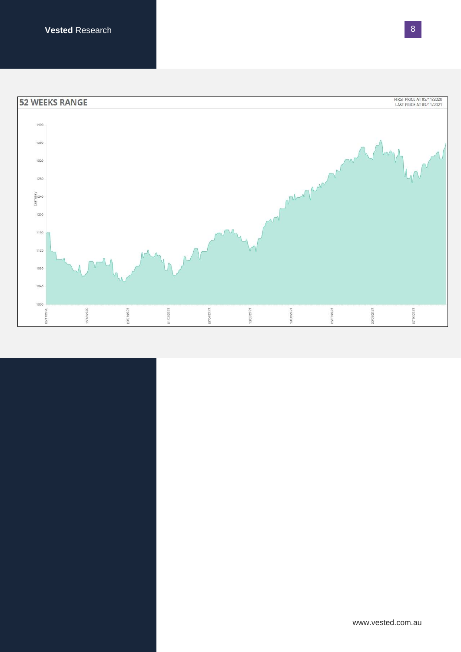